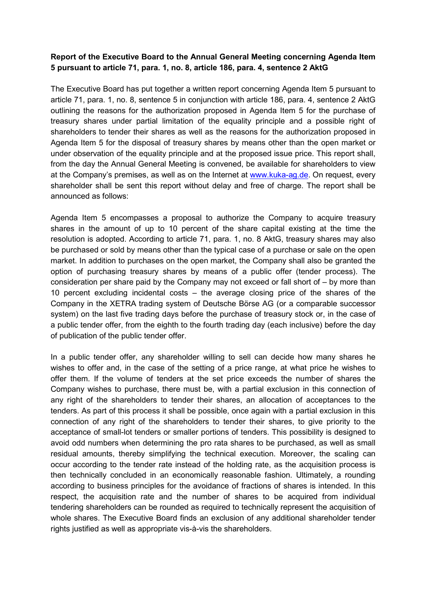## **Report of the Executive Board to the Annual General Meeting concerning Agenda Item 5 pursuant to article 71, para. 1, no. 8, article 186, para. 4, sentence 2 AktG**

The Executive Board has put together a written report concerning Agenda Item 5 pursuant to article 71, para. 1, no. 8, sentence 5 in conjunction with article 186, para. 4, sentence 2 AktG outlining the reasons for the authorization proposed in Agenda Item 5 for the purchase of treasury shares under partial limitation of the equality principle and a possible right of shareholders to tender their shares as well as the reasons for the authorization proposed in Agenda Item 5 for the disposal of treasury shares by means other than the open market or under observation of the equality principle and at the proposed issue price. This report shall, from the day the Annual General Meeting is convened, be available for shareholders to view at the Company's premises, as well as on the Internet at www.kuka-ag.de. On request, every shareholder shall be sent this report without delay and free of charge. The report shall be announced as follows:

Agenda Item 5 encompasses a proposal to authorize the Company to acquire treasury shares in the amount of up to 10 percent of the share capital existing at the time the resolution is adopted. According to article 71, para. 1, no. 8 AktG, treasury shares may also be purchased or sold by means other than the typical case of a purchase or sale on the open market. In addition to purchases on the open market, the Company shall also be granted the option of purchasing treasury shares by means of a public offer (tender process). The consideration per share paid by the Company may not exceed or fall short of – by more than 10 percent excluding incidental costs – the average closing price of the shares of the Company in the XETRA trading system of Deutsche Börse AG (or a comparable successor system) on the last five trading days before the purchase of treasury stock or, in the case of a public tender offer, from the eighth to the fourth trading day (each inclusive) before the day of publication of the public tender offer.

In a public tender offer, any shareholder willing to sell can decide how many shares he wishes to offer and, in the case of the setting of a price range, at what price he wishes to offer them. If the volume of tenders at the set price exceeds the number of shares the Company wishes to purchase, there must be, with a partial exclusion in this connection of any right of the shareholders to tender their shares, an allocation of acceptances to the tenders. As part of this process it shall be possible, once again with a partial exclusion in this connection of any right of the shareholders to tender their shares, to give priority to the acceptance of small-lot tenders or smaller portions of tenders. This possibility is designed to avoid odd numbers when determining the pro rata shares to be purchased, as well as small residual amounts, thereby simplifying the technical execution. Moreover, the scaling can occur according to the tender rate instead of the holding rate, as the acquisition process is then technically concluded in an economically reasonable fashion. Ultimately, a rounding according to business principles for the avoidance of fractions of shares is intended. In this respect, the acquisition rate and the number of shares to be acquired from individual tendering shareholders can be rounded as required to technically represent the acquisition of whole shares. The Executive Board finds an exclusion of any additional shareholder tender rights justified as well as appropriate vis-à-vis the shareholders.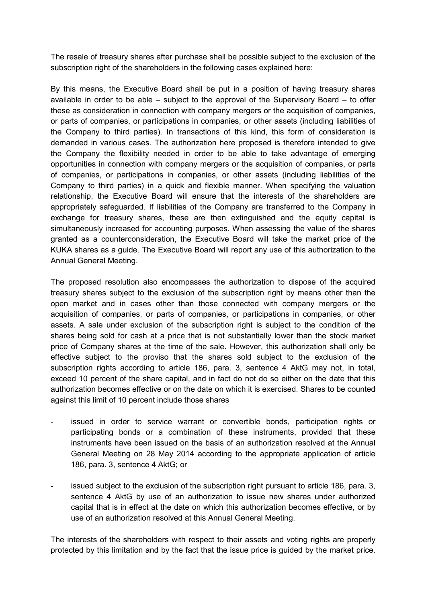The resale of treasury shares after purchase shall be possible subject to the exclusion of the subscription right of the shareholders in the following cases explained here:

By this means, the Executive Board shall be put in a position of having treasury shares available in order to be able  $-$  subject to the approval of the Supervisory Board  $-$  to offer these as consideration in connection with company mergers or the acquisition of companies, or parts of companies, or participations in companies, or other assets (including liabilities of the Company to third parties). In transactions of this kind, this form of consideration is demanded in various cases. The authorization here proposed is therefore intended to give the Company the flexibility needed in order to be able to take advantage of emerging opportunities in connection with company mergers or the acquisition of companies, or parts of companies, or participations in companies, or other assets (including liabilities of the Company to third parties) in a quick and flexible manner. When specifying the valuation relationship, the Executive Board will ensure that the interests of the shareholders are appropriately safeguarded. If liabilities of the Company are transferred to the Company in exchange for treasury shares, these are then extinguished and the equity capital is simultaneously increased for accounting purposes. When assessing the value of the shares granted as a counterconsideration, the Executive Board will take the market price of the KUKA shares as a guide. The Executive Board will report any use of this authorization to the Annual General Meeting.

The proposed resolution also encompasses the authorization to dispose of the acquired treasury shares subject to the exclusion of the subscription right by means other than the open market and in cases other than those connected with company mergers or the acquisition of companies, or parts of companies, or participations in companies, or other assets. A sale under exclusion of the subscription right is subject to the condition of the shares being sold for cash at a price that is not substantially lower than the stock market price of Company shares at the time of the sale. However, this authorization shall only be effective subject to the proviso that the shares sold subject to the exclusion of the subscription rights according to article 186, para. 3, sentence 4 AktG may not, in total, exceed 10 percent of the share capital, and in fact do not do so either on the date that this authorization becomes effective or on the date on which it is exercised. Shares to be counted against this limit of 10 percent include those shares

- issued in order to service warrant or convertible bonds, participation rights or participating bonds or a combination of these instruments, provided that these instruments have been issued on the basis of an authorization resolved at the Annual General Meeting on 28 May 2014 according to the appropriate application of article 186, para. 3, sentence 4 AktG; or
- issued subject to the exclusion of the subscription right pursuant to article 186, para. 3, sentence 4 AktG by use of an authorization to issue new shares under authorized capital that is in effect at the date on which this authorization becomes effective, or by use of an authorization resolved at this Annual General Meeting.

The interests of the shareholders with respect to their assets and voting rights are properly protected by this limitation and by the fact that the issue price is guided by the market price.